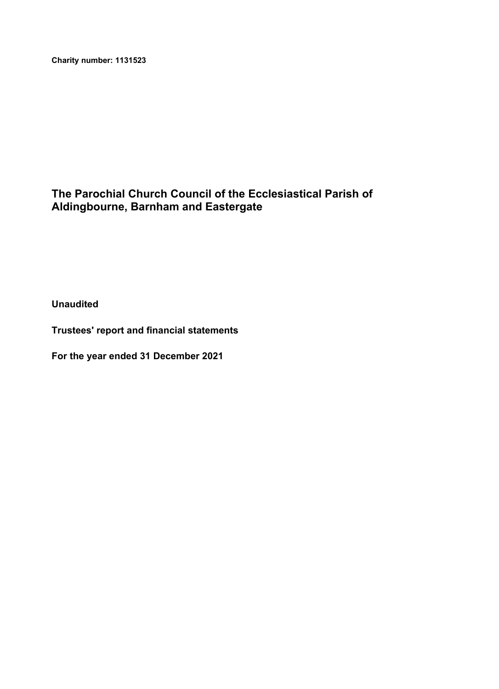**Charity number: 1131523**

# **The Parochial Church Council of the Ecclesiastical Parish of Aldingbourne, Barnham and Eastergate**

**Unaudited**

**Trustees' report and financial statements**

**For the year ended 31 December 2021**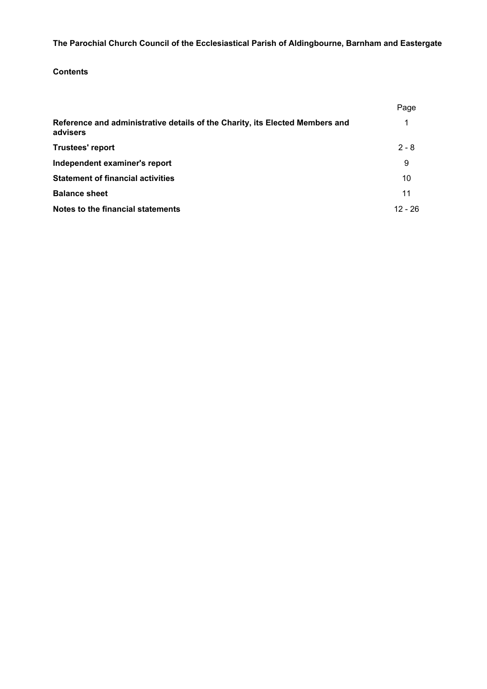# **Contents**

| Reference and administrative details of the Charity, its Elected Members and | Page      |
|------------------------------------------------------------------------------|-----------|
| advisers                                                                     |           |
| <b>Trustees' report</b>                                                      | $2 - 8$   |
| Independent examiner's report                                                | 9         |
| <b>Statement of financial activities</b>                                     | 10        |
| <b>Balance sheet</b>                                                         | 11        |
| Notes to the financial statements                                            | $12 - 26$ |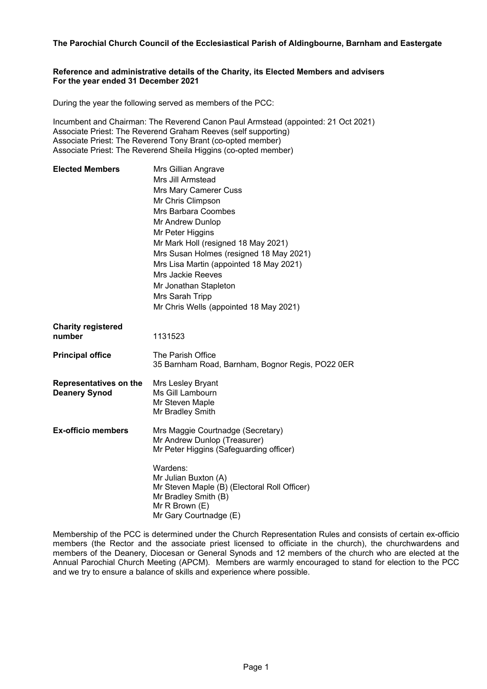### **Reference and administrative details of the Charity, its Elected Members and advisers For the year ended 31 December 2021**

During the year the following served as members of the PCC:

Incumbent and Chairman: The Reverend Canon Paul Armstead (appointed: 21 Oct 2021) Associate Priest: The Reverend Graham Reeves (self supporting) Associate Priest: The Reverend Tony Brant (co-opted member) Associate Priest: The Reverend Sheila Higgins (co-opted member)

| <b>Elected Members</b>        | Mrs Gillian Angrave                              |
|-------------------------------|--------------------------------------------------|
|                               | Mrs Jill Armstead                                |
|                               | <b>Mrs Mary Camerer Cuss</b>                     |
|                               | Mr Chris Climpson                                |
|                               | <b>Mrs Barbara Coombes</b>                       |
|                               | Mr Andrew Dunlop                                 |
|                               | Mr Peter Higgins                                 |
|                               | Mr Mark Holl (resigned 18 May 2021)              |
|                               | Mrs Susan Holmes (resigned 18 May 2021)          |
|                               | Mrs Lisa Martin (appointed 18 May 2021)          |
|                               | Mrs Jackie Reeves                                |
|                               | Mr Jonathan Stapleton                            |
|                               | Mrs Sarah Tripp                                  |
|                               | Mr Chris Wells (appointed 18 May 2021)           |
| <b>Charity registered</b>     |                                                  |
| number                        | 1131523                                          |
| <b>Principal office</b>       | The Parish Office                                |
|                               | 35 Barnham Road, Barnham, Bognor Regis, PO22 0ER |
| <b>Representatives on the</b> | Mrs Lesley Bryant                                |
| <b>Deanery Synod</b>          | Ms Gill Lambourn                                 |
|                               | Mr Steven Maple                                  |
|                               | Mr Bradley Smith                                 |
| <b>Ex-officio members</b>     | Mrs Maggie Courtnadge (Secretary)                |
|                               | Mr Andrew Dunlop (Treasurer)                     |
|                               | Mr Peter Higgins (Safeguarding officer)          |
|                               | Wardens:                                         |
|                               | Mr Julian Buxton (A)                             |
|                               | Mr Steven Maple (B) (Electoral Roll Officer)     |
|                               | Mr Bradley Smith (B)<br>Mr R Brown (E)           |
|                               | Mr Gary Courtnadge (E)                           |
|                               |                                                  |

Membership of the PCC is determined under the Church Representation Rules and consists of certain ex-officio members (the Rector and the associate priest licensed to officiate in the church), the churchwardens and members of the Deanery, Diocesan or General Synods and 12 members of the church who are elected at the Annual Parochial Church Meeting (APCM). Members are warmly encouraged to stand for election to the PCC and we try to ensure a balance of skills and experience where possible.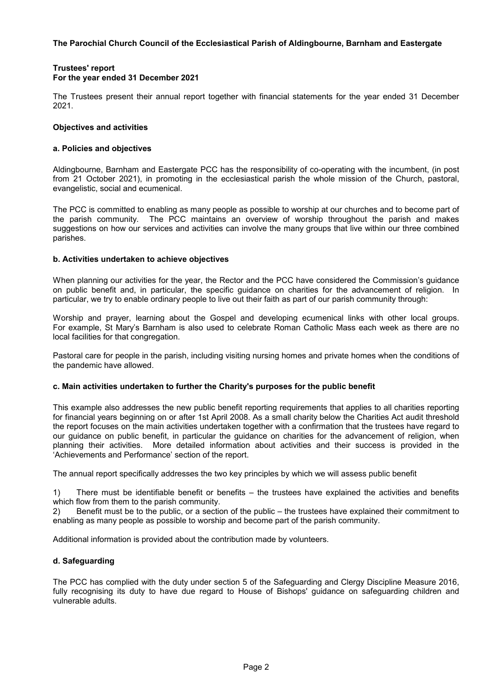#### **Trustees' report For the year ended 31 December 2021**

The Trustees present their annual report together with financial statements for the year ended 31 December 2021.

### **Objectives and activities**

#### **a. Policies and objectives**

Aldingbourne, Barnham and Eastergate PCC has the responsibility of co-operating with the incumbent, (in post from 21 October 2021), in promoting in the ecclesiastical parish the whole mission of the Church, pastoral, evangelistic, social and ecumenical.

The PCC is committed to enabling as many people as possible to worship at our churches and to become part of the parish community. The PCC maintains an overview of worship throughout the parish and makes suggestions on how our services and activities can involve the many groups that live within our three combined parishes.

#### **b. Activities undertaken to achieve objectives**

When planning our activities for the year, the Rector and the PCC have considered the Commission's guidance on public benefit and, in particular, the specific guidance on charities for the advancement of religion. In particular, we try to enable ordinary people to live out their faith as part of our parish community through:

Worship and prayer, learning about the Gospel and developing ecumenical links with other local groups. For example, St Mary's Barnham is also used to celebrate Roman Catholic Mass each week as there are no local facilities for that congregation.

Pastoral care for people in the parish, including visiting nursing homes and private homes when the conditions of the pandemic have allowed.

# **c. Main activities undertaken to further the Charity's purposes for the public benefit**

This example also addresses the new public benefit reporting requirements that applies to all charities reporting for financial years beginning on or after 1st April 2008. As a small charity below the Charities Act audit threshold the report focuses on the main activities undertaken together with a confirmation that the trustees have regard to our guidance on public benefit, in particular the guidance on charities for the advancement of religion, when planning their activities. More detailed information about activities and their success is provided in the 'Achievements and Performance' section of the report.

The annual report specifically addresses the two key principles by which we will assess public benefit

1) There must be identifiable benefit or benefits – the trustees have explained the activities and benefits which flow from them to the parish community.

2) Benefit must be to the public, or a section of the public – the trustees have explained their commitment to enabling as many people as possible to worship and become part of the parish community.

Additional information is provided about the contribution made by volunteers.

# **d. Safeguarding**

The PCC has complied with the duty under section 5 of the Safeguarding and Clergy Discipline Measure 2016, fully recognising its duty to have due regard to House of Bishops' guidance on safeguarding children and vulnerable adults.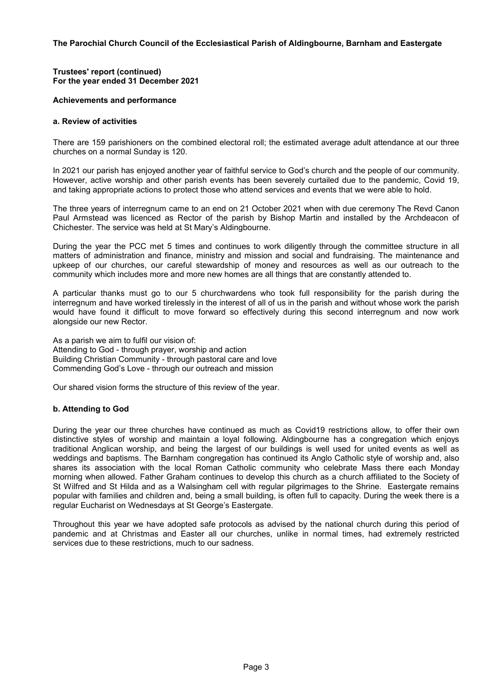### **Trustees' report (continued) For the year ended 31 December 2021**

# **Achievements and performance**

# **a. Review of activities**

There are 159 parishioners on the combined electoral roll; the estimated average adult attendance at our three churches on a normal Sunday is 120.

In 2021 our parish has enjoyed another year of faithful service to God's church and the people of our community. However, active worship and other parish events has been severely curtailed due to the pandemic, Covid 19, and taking appropriate actions to protect those who attend services and events that we were able to hold.

The three years of interregnum came to an end on 21 October 2021 when with due ceremony The Revd Canon Paul Armstead was licenced as Rector of the parish by Bishop Martin and installed by the Archdeacon of Chichester. The service was held at St Mary's Aldingbourne.

During the year the PCC met 5 times and continues to work diligently through the committee structure in all matters of administration and finance, ministry and mission and social and fundraising. The maintenance and upkeep of our churches, our careful stewardship of money and resources as well as our outreach to the community which includes more and more new homes are all things that are constantly attended to.

A particular thanks must go to our 5 churchwardens who took full responsibility for the parish during the interregnum and have worked tirelessly in the interest of all of us in the parish and without whose work the parish would have found it difficult to move forward so effectively during this second interregnum and now work alongside our new Rector.

As a parish we aim to fulfil our vision of: Attending to God - through prayer, worship and action Building Christian Community - through pastoral care and love Commending God's Love - through our outreach and mission

Our shared vision forms the structure of this review of the year.

# **b. Attending to God**

During the year our three churches have continued as much as Covid19 restrictions allow, to offer their own distinctive styles of worship and maintain a loyal following. Aldingbourne has a congregation which enjoys traditional Anglican worship, and being the largest of our buildings is well used for united events as well as weddings and baptisms. The Barnham congregation has continued its Anglo Catholic style of worship and, also shares its association with the local Roman Catholic community who celebrate Mass there each Monday morning when allowed. Father Graham continues to develop this church as a church affiliated to the Society of St Wilfred and St Hilda and as a Walsingham cell with regular pilgrimages to the Shrine. Eastergate remains popular with families and children and, being a small building, is often full to capacity. During the week there is a regular Eucharist on Wednesdays at St George's Eastergate.

Throughout this year we have adopted safe protocols as advised by the national church during this period of pandemic and at Christmas and Easter all our churches, unlike in normal times, had extremely restricted services due to these restrictions, much to our sadness.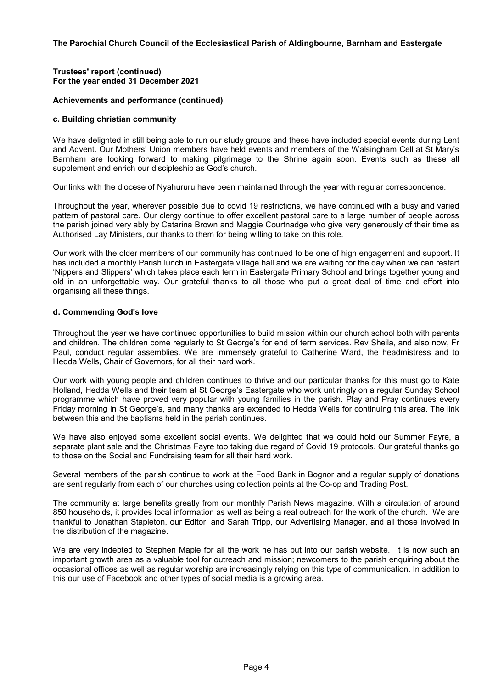### **Trustees' report (continued) For the year ended 31 December 2021**

# **Achievements and performance (continued)**

### **c. Building christian community**

We have delighted in still being able to run our study groups and these have included special events during Lent and Advent. Our Mothers' Union members have held events and members of the Walsingham Cell at St Mary's Barnham are looking forward to making pilgrimage to the Shrine again soon. Events such as these all supplement and enrich our discipleship as God's church.

Our links with the diocese of Nyahururu have been maintained through the year with regular correspondence.

Throughout the year, wherever possible due to covid 19 restrictions, we have continued with a busy and varied pattern of pastoral care. Our clergy continue to offer excellent pastoral care to a large number of people across the parish joined very ably by Catarina Brown and Maggie Courtnadge who give very generously of their time as Authorised Lay Ministers, our thanks to them for being willing to take on this role.

Our work with the older members of our community has continued to be one of high engagement and support. It has included a monthly Parish lunch in Eastergate village hall and we are waiting for the day when we can restart 'Nippers and Slippers' which takes place each term in Eastergate Primary School and brings together young and old in an unforgettable way. Our grateful thanks to all those who put a great deal of time and effort into organising all these things.

# **d. Commending God's love**

Throughout the year we have continued opportunities to build mission within our church school both with parents and children. The children come regularly to St George's for end of term services. Rev Sheila, and also now, Fr Paul, conduct regular assemblies. We are immensely grateful to Catherine Ward, the headmistress and to Hedda Wells, Chair of Governors, for all their hard work.

Our work with young people and children continues to thrive and our particular thanks for this must go to Kate Holland, Hedda Wells and their team at St George's Eastergate who work untiringly on a regular Sunday School programme which have proved very popular with young families in the parish. Play and Pray continues every Friday morning in St George's, and many thanks are extended to Hedda Wells for continuing this area. The link between this and the baptisms held in the parish continues.

We have also enjoyed some excellent social events. We delighted that we could hold our Summer Fayre, a separate plant sale and the Christmas Fayre too taking due regard of Covid 19 protocols. Our grateful thanks go to those on the Social and Fundraising team for all their hard work.

Several members of the parish continue to work at the Food Bank in Bognor and a regular supply of donations are sent regularly from each of our churches using collection points at the Co-op and Trading Post.

The community at large benefits greatly from our monthly Parish News magazine. With a circulation of around 850 households, it provides local information as well as being a real outreach for the work of the church. We are thankful to Jonathan Stapleton, our Editor, and Sarah Tripp, our Advertising Manager, and all those involved in the distribution of the magazine.

We are very indebted to Stephen Maple for all the work he has put into our parish website. It is now such an important growth area as a valuable tool for outreach and mission; newcomers to the parish enquiring about the occasional offices as well as regular worship are increasingly relying on this type of communication. In addition to this our use of Facebook and other types of social media is a growing area.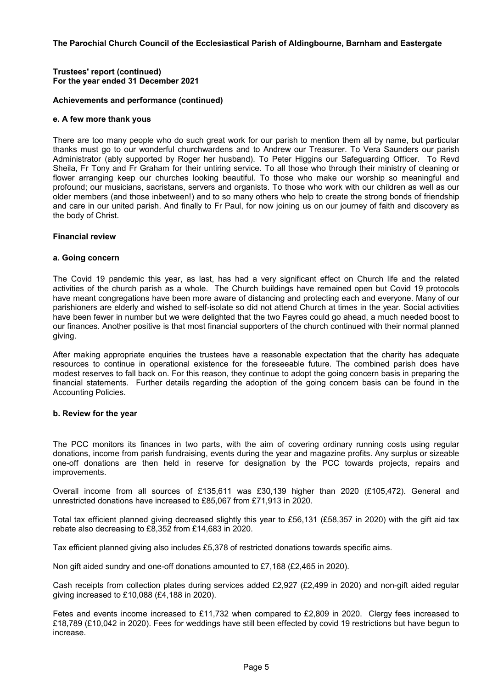### **Trustees' report (continued) For the year ended 31 December 2021**

### **Achievements and performance (continued)**

#### **e. A few more thank yous**

There are too many people who do such great work for our parish to mention them all by name, but particular thanks must go to our wonderful churchwardens and to Andrew our Treasurer. To Vera Saunders our parish Administrator (ably supported by Roger her husband). To Peter Higgins our Safeguarding Officer. To Revd Sheila, Fr Tony and Fr Graham for their untiring service. To all those who through their ministry of cleaning or flower arranging keep our churches looking beautiful. To those who make our worship so meaningful and profound; our musicians, sacristans, servers and organists. To those who work with our children as well as our older members (and those inbetween!) and to so many others who help to create the strong bonds of friendship and care in our united parish. And finally to Fr Paul, for now joining us on our journey of faith and discovery as the body of Christ.

#### **Financial review**

#### **a. Going concern**

The Covid 19 pandemic this year, as last, has had a very significant effect on Church life and the related activities of the church parish as a whole. The Church buildings have remained open but Covid 19 protocols have meant congregations have been more aware of distancing and protecting each and everyone. Many of our parishioners are elderly and wished to self-isolate so did not attend Church at times in the year. Social activities have been fewer in number but we were delighted that the two Fayres could go ahead, a much needed boost to our finances. Another positive is that most financial supporters of the church continued with their normal planned giving.

After making appropriate enquiries the trustees have a reasonable expectation that the charity has adequate resources to continue in operational existence for the foreseeable future. The combined parish does have modest reserves to fall back on. For this reason, they continue to adopt the going concern basis in preparing the financial statements. Further details regarding the adoption of the going concern basis can be found in the Accounting Policies.

#### **b. Review for the year**

The PCC monitors its finances in two parts, with the aim of covering ordinary running costs using regular donations, income from parish fundraising, events during the year and magazine profits. Any surplus or sizeable one-off donations are then held in reserve for designation by the PCC towards projects, repairs and improvements.

Overall income from all sources of £135,611 was £30,139 higher than 2020 (£105,472). General and unrestricted donations have increased to £85,067 from £71,913 in 2020.

Total tax efficient planned giving decreased slightly this year to £56,131 (£58,357 in 2020) with the gift aid tax rebate also decreasing to £8,352 from £14,683 in 2020.

Tax efficient planned giving also includes £5,378 of restricted donations towards specific aims.

Non gift aided sundry and one-off donations amounted to £7,168 (£2,465 in 2020).

Cash receipts from collection plates during services added £2,927 (£2,499 in 2020) and non-gift aided regular giving increased to £10,088 (£4,188 in 2020).

Fetes and events income increased to £11,732 when compared to £2,809 in 2020. Clergy fees increased to £18,789 (£10,042 in 2020). Fees for weddings have still been effected by covid 19 restrictions but have begun to increase.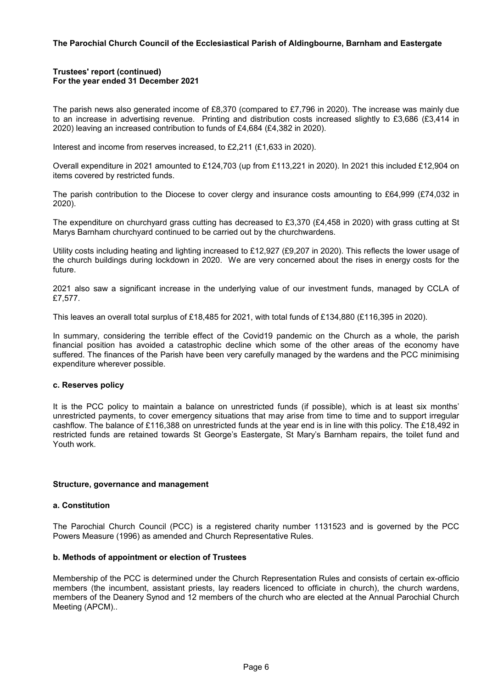#### **Trustees' report (continued) For the year ended 31 December 2021**

The parish news also generated income of £8,370 (compared to £7,796 in 2020). The increase was mainly due to an increase in advertising revenue. Printing and distribution costs increased slightly to £3,686 (£3,414 in 2020) leaving an increased contribution to funds of £4,684 (£4,382 in 2020).

Interest and income from reserves increased, to £2,211 (£1,633 in 2020).

Overall expenditure in 2021 amounted to £124,703 (up from £113,221 in 2020). In 2021 this included £12,904 on items covered by restricted funds.

The parish contribution to the Diocese to cover clergy and insurance costs amounting to £64,999 (£74,032 in 2020).

The expenditure on churchyard grass cutting has decreased to £3,370 (£4,458 in 2020) with grass cutting at St Marys Barnham churchyard continued to be carried out by the churchwardens.

Utility costs including heating and lighting increased to £12,927 (£9,207 in 2020). This reflects the lower usage of the church buildings during lockdown in 2020. We are very concerned about the rises in energy costs for the future.

2021 also saw a significant increase in the underlying value of our investment funds, managed by CCLA of £7,577.

This leaves an overall total surplus of £18,485 for 2021, with total funds of £134,880 (£116,395 in 2020).

In summary, considering the terrible effect of the Covid19 pandemic on the Church as a whole, the parish financial position has avoided a catastrophic decline which some of the other areas of the economy have suffered. The finances of the Parish have been very carefully managed by the wardens and the PCC minimising expenditure wherever possible.

#### **c. Reserves policy**

It is the PCC policy to maintain a balance on unrestricted funds (if possible), which is at least six months' unrestricted payments, to cover emergency situations that may arise from time to time and to support irregular cashflow. The balance of £116,388 on unrestricted funds at the year end is in line with this policy. The £18,492 in restricted funds are retained towards St George's Eastergate, St Mary's Barnham repairs, the toilet fund and Youth work.

#### **Structure, governance and management**

#### **a. Constitution**

The Parochial Church Council (PCC) is a registered charity number 1131523 and is governed by the PCC Powers Measure (1996) as amended and Church Representative Rules.

#### **b. Methods of appointment or election of Trustees**

Membership of the PCC is determined under the Church Representation Rules and consists of certain ex-officio members (the incumbent, assistant priests, lay readers licenced to officiate in church), the church wardens, members of the Deanery Synod and 12 members of the church who are elected at the Annual Parochial Church Meeting (APCM)..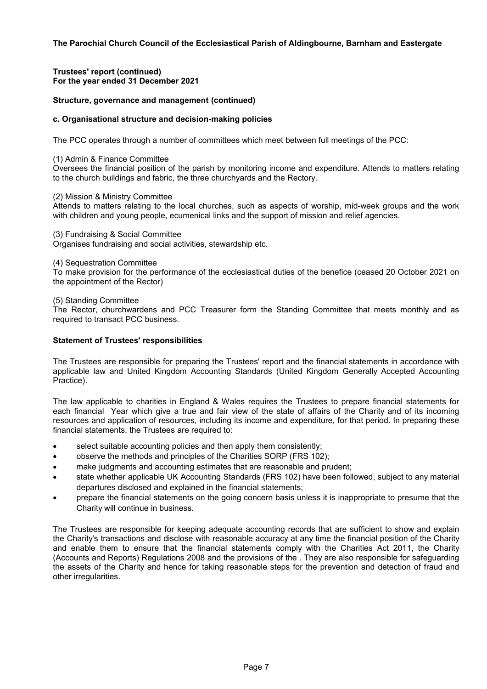**Trustees' report (continued) For the year ended 31 December 2021**

# **Structure, governance and management (continued)**

### **c. Organisational structure and decision-making policies**

The PCC operates through a number of committees which meet between full meetings of the PCC:

(1) Admin & Finance Committee

Oversees the financial position of the parish by monitoring income and expenditure. Attends to matters relating to the church buildings and fabric, the three churchyards and the Rectory.

(2) Mission & Ministry Committee

Attends to matters relating to the local churches, such as aspects of worship, mid-week groups and the work with children and young people, ecumenical links and the support of mission and relief agencies.

(3) Fundraising & Social Committee Organises fundraising and social activities, stewardship etc.

(4) Sequestration Committee

To make provision for the performance of the ecclesiastical duties of the benefice (ceased 20 October 2021 on the appointment of the Rector)

(5) Standing Committee

The Rector, churchwardens and PCC Treasurer form the Standing Committee that meets monthly and as required to transact PCC business.

### **Statement of Trustees' responsibilities**

The Trustees are responsible for preparing the Trustees' report and the financial statements in accordance with applicable law and United Kingdom Accounting Standards (United Kingdom Generally Accepted Accounting Practice).

The law applicable to charities in England & Wales requires the Trustees to prepare financial statements for each financial Year which give a true and fair view of the state of affairs of the Charity and of its incoming resources and application of resources, including its income and expenditure, for that period. In preparing these financial statements, the Trustees are required to:

- select suitable accounting policies and then apply them consistently;
- observe the methods and principles of the Charities SORP (FRS 102);
- make judgments and accounting estimates that are reasonable and prudent;
- state whether applicable UK Accounting Standards (FRS 102) have been followed, subject to any material departures disclosed and explained in the financial statements;
- prepare the financial statements on the going concern basis unless it is inappropriate to presume that the Charity will continue in business.

The Trustees are responsible for keeping adequate accounting records that are sufficient to show and explain the Charity's transactions and disclose with reasonable accuracy at any time the financial position of the Charity and enable them to ensure that the financial statements comply with the Charities Act 2011, the Charity (Accounts and Reports) Regulations 2008 and the provisions of the . They are also responsible for safeguarding the assets of the Charity and hence for taking reasonable steps for the prevention and detection of fraud and other irregularities.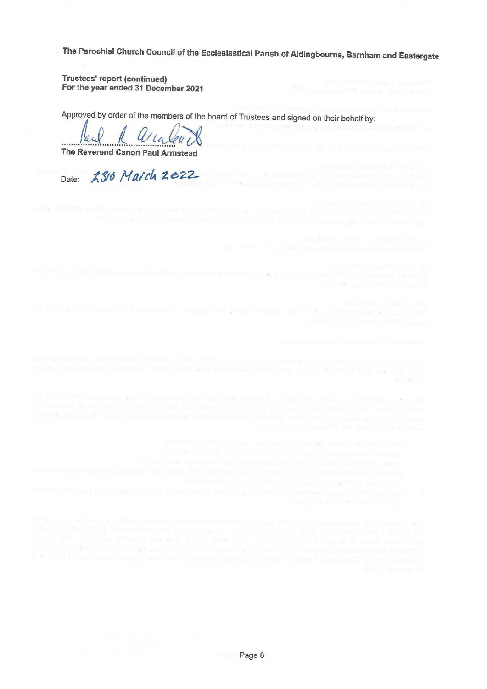**Trustees' report (continued)** For the year ended 31 December 2021

Approved by order of the members of the board of Trustees and signed on their behalf by:

The Reverend Canon Paul Armstead

230 March 2022 Date:

privismina daeb and ambautis isnodaen spal

the governmented but retimined unheats of push souscert at a stu

- 
- 
- 
- 
-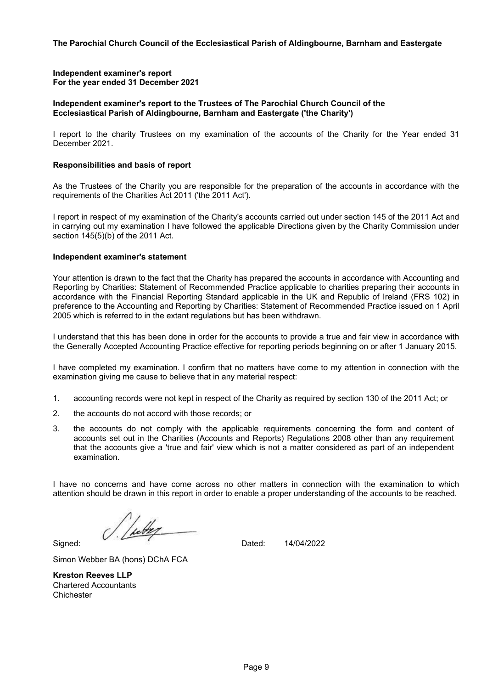#### **Independent examiner's report For the year ended 31 December 2021**

# **Independent examiner's report to the Trustees of The Parochial Church Council of the Ecclesiastical Parish of Aldingbourne, Barnham and Eastergate ('the Charity')**

I report to the charity Trustees on my examination of the accounts of the Charity for the Year ended 31 December 2021.

### **Responsibilities and basis of report**

As the Trustees of the Charity you are responsible for the preparation of the accounts in accordance with the requirements of the Charities Act 2011 ('the 2011 Act').

I report in respect of my examination of the Charity's accounts carried out under section 145 of the 2011 Act and in carrying out my examination I have followed the applicable Directions given by the Charity Commission under section 145(5)(b) of the 2011 Act.

#### **Independent examiner's statement**

Your attention is drawn to the fact that the Charity has prepared the accounts in accordance with Accounting and Reporting by Charities: Statement of Recommended Practice applicable to charities preparing their accounts in accordance with the Financial Reporting Standard applicable in the UK and Republic of Ireland (FRS 102) in preference to the Accounting and Reporting by Charities: Statement of Recommended Practice issued on 1 April 2005 which is referred to in the extant regulations but has been withdrawn.

I understand that this has been done in order for the accounts to provide a true and fair view in accordance with the Generally Accepted Accounting Practice effective for reporting periods beginning on or after 1 January 2015.

I have completed my examination. I confirm that no matters have come to my attention in connection with the examination giving me cause to believe that in any material respect:

- 1. accounting records were not kept in respect of the Charity as required by section 130 of the 2011 Act; or
- 2. the accounts do not accord with those records; or
- 3. the accounts do not comply with the applicable requirements concerning the form and content of accounts set out in the Charities (Accounts and Reports) Regulations 2008 other than any requirement that the accounts give a 'true and fair' view which is not a matter considered as part of an independent examination.

I have no concerns and have come across no other matters in connection with the examination to which attention should be drawn in this report in order to enable a proper understanding of the accounts to be reached.

leter Signed: The state of the state of the Dated:

14/04/2022

Simon Webber BA (hons) DChA FCA

**Kreston Reeves LLP** Chartered Accountants **Chichester**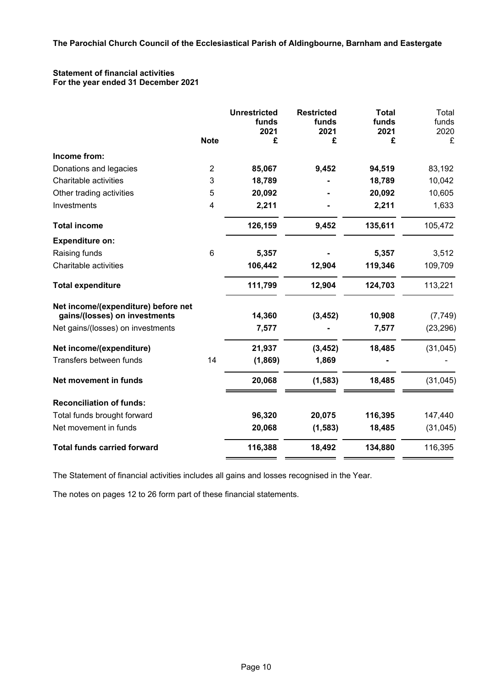# **Statement of financial activities For the year ended 31 December 2021**

|                                     |                         | <b>Unrestricted</b> | <b>Restricted</b> | <b>Total</b>  | Total         |
|-------------------------------------|-------------------------|---------------------|-------------------|---------------|---------------|
|                                     |                         | funds<br>2021       | funds<br>2021     | funds<br>2021 | funds<br>2020 |
|                                     | <b>Note</b>             | £                   | £                 | £             | £             |
| Income from:                        |                         |                     |                   |               |               |
| Donations and legacies              | $\overline{2}$          | 85,067              | 9,452             | 94,519        | 83,192        |
| Charitable activities               | 3                       | 18,789              |                   | 18,789        | 10,042        |
| Other trading activities            | 5                       | 20,092              |                   | 20,092        | 10,605        |
| Investments                         | $\overline{\mathbf{4}}$ | 2,211               |                   | 2,211         | 1,633         |
| <b>Total income</b>                 |                         | 126,159             | 9,452             | 135,611       | 105,472       |
| <b>Expenditure on:</b>              |                         |                     |                   |               |               |
| Raising funds                       | 6                       | 5,357               |                   | 5,357         | 3,512         |
| Charitable activities               |                         | 106,442             | 12,904            | 119,346       | 109,709       |
| <b>Total expenditure</b>            |                         | 111,799             | 12,904            | 124,703       | 113,221       |
| Net income/(expenditure) before net |                         |                     |                   |               |               |
| gains/(losses) on investments       |                         | 14,360              | (3, 452)          | 10,908        | (7, 749)      |
| Net gains/(losses) on investments   |                         | 7,577               |                   | 7,577         | (23, 296)     |
| Net income/(expenditure)            |                         | 21,937              | (3, 452)          | 18,485        | (31, 045)     |
| Transfers between funds             | 14                      | (1,869)             | 1,869             |               |               |
| Net movement in funds               |                         | 20,068              | (1, 583)          | 18,485        | (31, 045)     |
| <b>Reconciliation of funds:</b>     |                         |                     |                   |               |               |
| Total funds brought forward         |                         | 96,320              | 20,075            | 116,395       | 147,440       |
| Net movement in funds               |                         | 20,068              | (1, 583)          | 18,485        | (31, 045)     |
| <b>Total funds carried forward</b>  |                         | 116,388             | 18,492            | 134,880       | 116,395       |

The Statement of financial activities includes all gains and losses recognised in the Year.

The notes on pages 12 to 26 form part of these financial statements.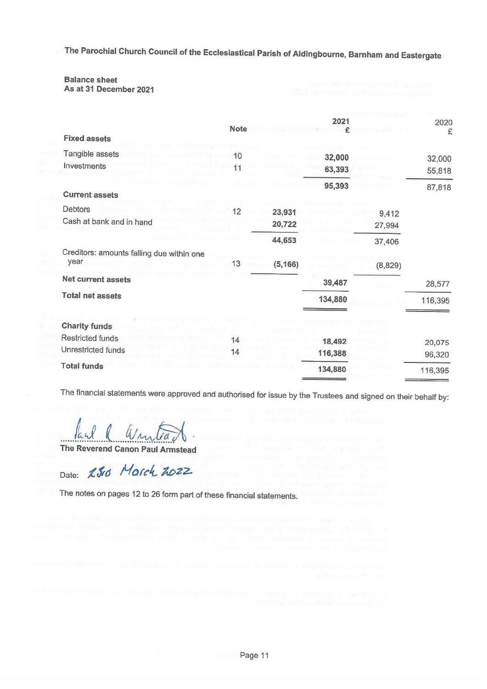# **Balance sheet**

As at 31 December 2021

|                                           | <b>Note</b> |          | 2021    |         | 2020<br>£ |
|-------------------------------------------|-------------|----------|---------|---------|-----------|
| <b>Fixed assets</b>                       |             |          |         |         |           |
| Tangible assets                           | 10          |          | 32,000  |         | 32,000    |
| Investments                               |             |          | 63,393  |         | 55,818    |
|                                           |             |          | 95,393  |         | 87,818    |
| <b>Current assets</b>                     |             |          |         |         |           |
| Debtors                                   | 12          | 23,931   |         | 9,412   |           |
| Cash at bank and in hand                  |             | 20,722   |         | 27,994  |           |
|                                           |             | 44,653   |         | 37,406  |           |
| Creditors: amounts falling due within one |             |          |         |         |           |
| year                                      | 13          | (5, 166) |         | (8,829) |           |
| <b>Net current assets</b>                 |             |          | 39,487  |         | 28,577    |
| <b>Total net assets</b>                   |             |          | 134,880 |         | 116,395   |
|                                           |             |          |         |         |           |
| <b>Charity funds</b>                      |             |          |         |         |           |
| Restricted funds                          | 14          |          | 18,492  |         | 20,075    |
| Unrestricted funds                        | 14          |          | 116,388 |         | 96,320    |
| <b>Total funds</b>                        |             |          | 134,880 |         | 116,395   |
|                                           |             |          |         |         |           |

The financial statements were approved and authorised for issue by the Trustees and signed on their behalf by:

a amtea

The Reverend Canon Paul Armstead

Date: 25rd March 2022

The notes on pages 12 to 26 form part of these financial statements.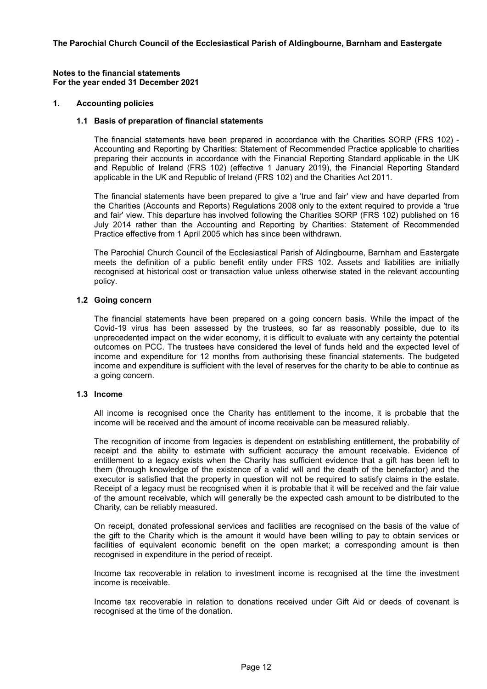#### **Notes to the financial statements For the year ended 31 December 2021**

#### **1. Accounting policies**

#### **1.1 Basis of preparation of financial statements**

The financial statements have been prepared in accordance with the Charities SORP (FRS 102) - Accounting and Reporting by Charities: Statement of Recommended Practice applicable to charities preparing their accounts in accordance with the Financial Reporting Standard applicable in the UK and Republic of Ireland (FRS 102) (effective 1 January 2019), the Financial Reporting Standard applicable in the UK and Republic of Ireland (FRS 102) and the Charities Act 2011.

The financial statements have been prepared to give a 'true and fair' view and have departed from the Charities (Accounts and Reports) Regulations 2008 only to the extent required to provide a 'true and fair' view. This departure has involved following the Charities SORP (FRS 102) published on 16 July 2014 rather than the Accounting and Reporting by Charities: Statement of Recommended Practice effective from 1 April 2005 which has since been withdrawn.

The Parochial Church Council of the Ecclesiastical Parish of Aldingbourne, Barnham and Eastergate meets the definition of a public benefit entity under FRS 102. Assets and liabilities are initially recognised at historical cost or transaction value unless otherwise stated in the relevant accounting policy.

#### **1.2 Going concern**

The financial statements have been prepared on a going concern basis. While the impact of the Covid-19 virus has been assessed by the trustees, so far as reasonably possible, due to its unprecedented impact on the wider economy, it is difficult to evaluate with any certainty the potential outcomes on PCC. The trustees have considered the level of funds held and the expected level of income and expenditure for 12 months from authorising these financial statements. The budgeted income and expenditure is sufficient with the level of reserves for the charity to be able to continue as a going concern.

#### **1.3 Income**

All income is recognised once the Charity has entitlement to the income, it is probable that the income will be received and the amount of income receivable can be measured reliably.

The recognition of income from legacies is dependent on establishing entitlement, the probability of receipt and the ability to estimate with sufficient accuracy the amount receivable. Evidence of entitlement to a legacy exists when the Charity has sufficient evidence that a gift has been left to them (through knowledge of the existence of a valid will and the death of the benefactor) and the executor is satisfied that the property in question will not be required to satisfy claims in the estate. Receipt of a legacy must be recognised when it is probable that it will be received and the fair value of the amount receivable, which will generally be the expected cash amount to be distributed to the Charity, can be reliably measured.

On receipt, donated professional services and facilities are recognised on the basis of the value of the gift to the Charity which is the amount it would have been willing to pay to obtain services or facilities of equivalent economic benefit on the open market; a corresponding amount is then recognised in expenditure in the period of receipt.

Income tax recoverable in relation to investment income is recognised at the time the investment income is receivable.

Income tax recoverable in relation to donations received under Gift Aid or deeds of covenant is recognised at the time of the donation.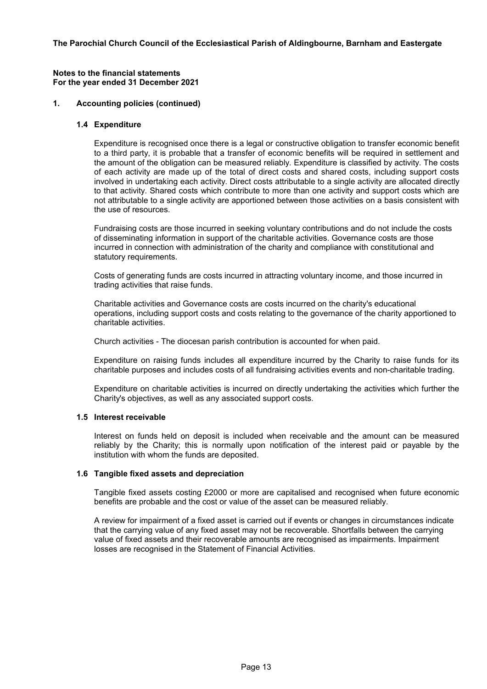#### **Notes to the financial statements For the year ended 31 December 2021**

### **1. Accounting policies (continued)**

### **1.4 Expenditure**

Expenditure is recognised once there is a legal or constructive obligation to transfer economic benefit to a third party, it is probable that a transfer of economic benefits will be required in settlement and the amount of the obligation can be measured reliably. Expenditure is classified by activity. The costs of each activity are made up of the total of direct costs and shared costs, including support costs involved in undertaking each activity. Direct costs attributable to a single activity are allocated directly to that activity. Shared costs which contribute to more than one activity and support costs which are not attributable to a single activity are apportioned between those activities on a basis consistent with the use of resources.

Fundraising costs are those incurred in seeking voluntary contributions and do not include the costs of disseminating information in support of the charitable activities. Governance costs are those incurred in connection with administration of the charity and compliance with constitutional and statutory requirements.

Costs of generating funds are costs incurred in attracting voluntary income, and those incurred in trading activities that raise funds.

Charitable activities and Governance costs are costs incurred on the charity's educational operations, including support costs and costs relating to the governance of the charity apportioned to charitable activities.

Church activities - The diocesan parish contribution is accounted for when paid.

Expenditure on raising funds includes all expenditure incurred by the Charity to raise funds for its charitable purposes and includes costs of all fundraising activities events and non-charitable trading.

Expenditure on charitable activities is incurred on directly undertaking the activities which further the Charity's objectives, as well as any associated support costs.

#### **1.5 Interest receivable**

Interest on funds held on deposit is included when receivable and the amount can be measured reliably by the Charity; this is normally upon notification of the interest paid or payable by the institution with whom the funds are deposited.

#### **1.6 Tangible fixed assets and depreciation**

Tangible fixed assets costing £2000 or more are capitalised and recognised when future economic benefits are probable and the cost or value of the asset can be measured reliably.

A review for impairment of a fixed asset is carried out if events or changes in circumstances indicate that the carrying value of any fixed asset may not be recoverable. Shortfalls between the carrying value of fixed assets and their recoverable amounts are recognised as impairments. Impairment losses are recognised in the Statement of Financial Activities.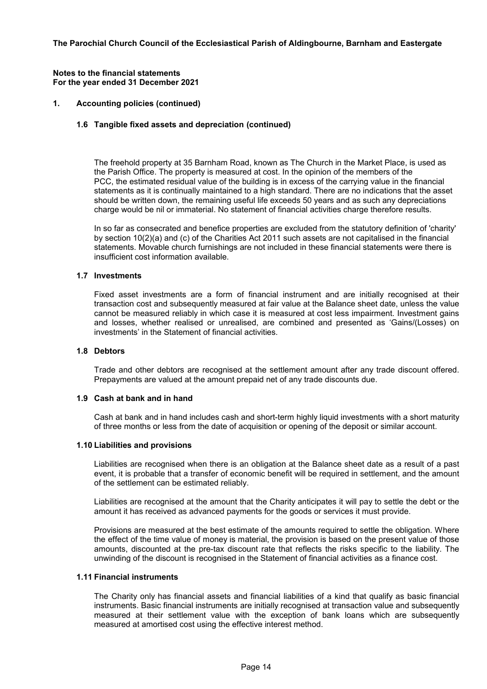#### **Notes to the financial statements For the year ended 31 December 2021**

# **1. Accounting policies (continued)**

# **1.6 Tangible fixed assets and depreciation (continued)**

The freehold property at 35 Barnham Road, known as The Church in the Market Place, is used as the Parish Office. The property is measured at cost. In the opinion of the members of the PCC, the estimated residual value of the building is in excess of the carrying value in the financial statements as it is continually maintained to a high standard. There are no indications that the asset should be written down, the remaining useful life exceeds 50 years and as such any depreciations charge would be nil or immaterial. No statement of financial activities charge therefore results.

In so far as consecrated and benefice properties are excluded from the statutory definition of 'charity' by section 10(2)(a) and (c) of the Charities Act 2011 such assets are not capitalised in the financial statements. Movable church furnishings are not included in these financial statements were there is insufficient cost information available.

#### **1.7 Investments**

Fixed asset investments are a form of financial instrument and are initially recognised at their transaction cost and subsequently measured at fair value at the Balance sheet date, unless the value cannot be measured reliably in which case it is measured at cost less impairment. Investment gains and losses, whether realised or unrealised, are combined and presented as 'Gains/(Losses) on investments' in the Statement of financial activities.

#### **1.8 Debtors**

Trade and other debtors are recognised at the settlement amount after any trade discount offered. Prepayments are valued at the amount prepaid net of any trade discounts due.

#### **1.9 Cash at bank and in hand**

Cash at bank and in hand includes cash and short-term highly liquid investments with a short maturity of three months or less from the date of acquisition or opening of the deposit or similar account.

#### **1.10 Liabilities and provisions**

Liabilities are recognised when there is an obligation at the Balance sheet date as a result of a past event, it is probable that a transfer of economic benefit will be required in settlement, and the amount of the settlement can be estimated reliably.

Liabilities are recognised at the amount that the Charity anticipates it will pay to settle the debt or the amount it has received as advanced payments for the goods or services it must provide.

Provisions are measured at the best estimate of the amounts required to settle the obligation. Where the effect of the time value of money is material, the provision is based on the present value of those amounts, discounted at the pre-tax discount rate that reflects the risks specific to the liability. The unwinding of the discount is recognised in the Statement of financial activities as a finance cost.

# **1.11 Financial instruments**

The Charity only has financial assets and financial liabilities of a kind that qualify as basic financial instruments. Basic financial instruments are initially recognised at transaction value and subsequently measured at their settlement value with the exception of bank loans which are subsequently measured at amortised cost using the effective interest method.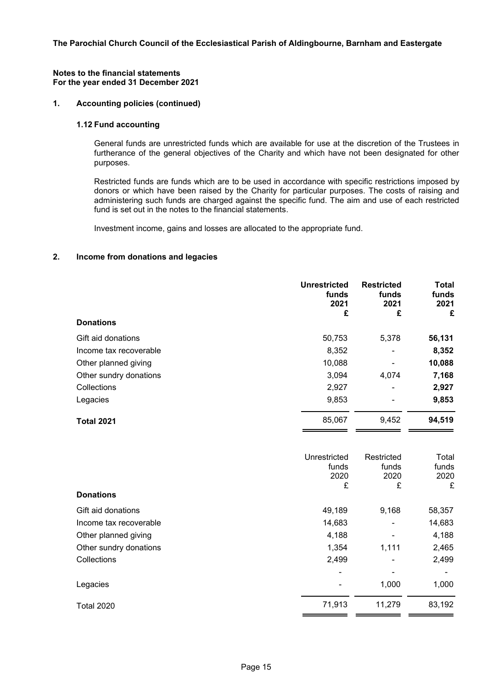#### **Notes to the financial statements For the year ended 31 December 2021**

# **1. Accounting policies (continued)**

### **1.12 Fund accounting**

General funds are unrestricted funds which are available for use at the discretion of the Trustees in furtherance of the general objectives of the Charity and which have not been designated for other purposes.

Restricted funds are funds which are to be used in accordance with specific restrictions imposed by donors or which have been raised by the Charity for particular purposes. The costs of raising and administering such funds are charged against the specific fund. The aim and use of each restricted fund is set out in the notes to the financial statements.

Investment income, gains and losses are allocated to the appropriate fund.

# **2. Income from donations and legacies**

|                        | <b>Unrestricted</b><br>funds<br>2021<br>£ | <b>Restricted</b><br>funds<br>2021<br>£ | <b>Total</b><br>funds<br>2021<br>£ |
|------------------------|-------------------------------------------|-----------------------------------------|------------------------------------|
| <b>Donations</b>       |                                           |                                         |                                    |
| Gift aid donations     | 50,753                                    | 5,378                                   | 56,131                             |
| Income tax recoverable | 8,352                                     | ۰                                       | 8,352                              |
| Other planned giving   | 10,088                                    | ۰                                       | 10,088                             |
| Other sundry donations | 3,094                                     | 4,074                                   | 7,168                              |
| Collections            | 2,927                                     | ۰                                       | 2,927                              |
| Legacies               | 9,853                                     | ۰                                       | 9,853                              |
| <b>Total 2021</b>      | 85,067                                    | 9,452                                   | 94,519                             |

| <b>Donations</b>       | Unrestricted<br>funds<br>2020<br>£ | Restricted<br>funds<br>2020<br>£ | Total<br>funds<br>2020<br>£ |
|------------------------|------------------------------------|----------------------------------|-----------------------------|
| Gift aid donations     | 49,189                             | 9,168                            | 58,357                      |
| Income tax recoverable | 14,683                             |                                  | 14,683                      |
| Other planned giving   | 4,188                              |                                  | 4,188                       |
| Other sundry donations | 1,354                              | 1,111                            | 2,465                       |
| Collections            | 2,499                              |                                  | 2,499                       |
|                        |                                    |                                  |                             |
| Legacies               |                                    | 1,000                            | 1,000                       |
| <b>Total 2020</b>      | 71,913                             | 11,279                           | 83,192                      |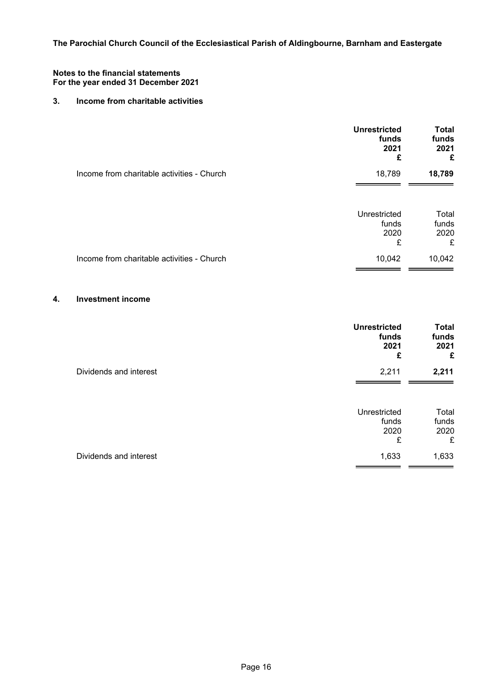### **Notes to the financial statements For the year ended 31 December 2021**

# **3. Income from charitable activities**

|                                            | <b>Unrestricted</b><br>funds<br>2021<br>£ | <b>Total</b><br>funds<br>2021<br>£ |
|--------------------------------------------|-------------------------------------------|------------------------------------|
| Income from charitable activities - Church | 18,789                                    | 18,789                             |
|                                            | Unrestricted<br>funds<br>2020<br>£        | Total<br>funds<br>2020<br>£        |
| Income from charitable activities - Church | 10,042                                    | 10,042                             |

# **4. Investment income**

|                        | <b>Unrestricted</b><br>funds<br>2021<br>£ | <b>Total</b><br>funds<br>2021<br>£ |
|------------------------|-------------------------------------------|------------------------------------|
| Dividends and interest | 2,211                                     | 2,211                              |
|                        | Unrestricted<br>funds<br>2020<br>£        | Total<br>funds<br>2020<br>£        |
| Dividends and interest | 1,633                                     | 1,633                              |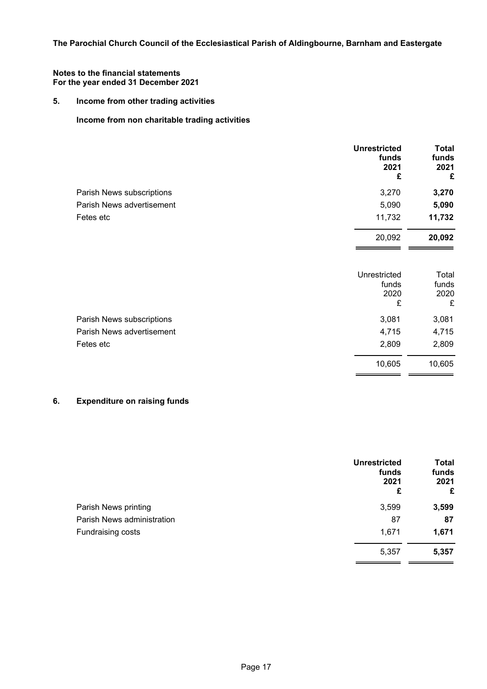# **5. Income from other trading activities**

# **Income from non charitable trading activities**

|                           | <b>Unrestricted</b><br>funds<br>2021<br>£ | <b>Total</b><br>funds<br>2021<br>£ |
|---------------------------|-------------------------------------------|------------------------------------|
| Parish News subscriptions | 3,270                                     | 3,270                              |
| Parish News advertisement | 5,090                                     | 5,090                              |
| Fetes etc                 | 11,732                                    | 11,732                             |
|                           | 20,092                                    | 20,092                             |
|                           |                                           |                                    |

|                           | Unrestricted<br>funds<br>2020<br>£ | Total<br>funds<br>2020<br>£ |
|---------------------------|------------------------------------|-----------------------------|
| Parish News subscriptions | 3,081                              | 3,081                       |
| Parish News advertisement | 4,715                              | 4,715                       |
| Fetes etc                 | 2,809                              | 2,809                       |
|                           | 10,605                             | 10,605                      |

# **6. Expenditure on raising funds**

|                            | <b>Unrestricted</b><br>funds<br>2021<br>£ | <b>Total</b><br>funds<br>2021<br>£ |
|----------------------------|-------------------------------------------|------------------------------------|
| Parish News printing       | 3,599                                     | 3,599                              |
| Parish News administration | 87                                        | 87                                 |
| Fundraising costs          | 1,671                                     | 1,671                              |
|                            | 5,357                                     | 5,357                              |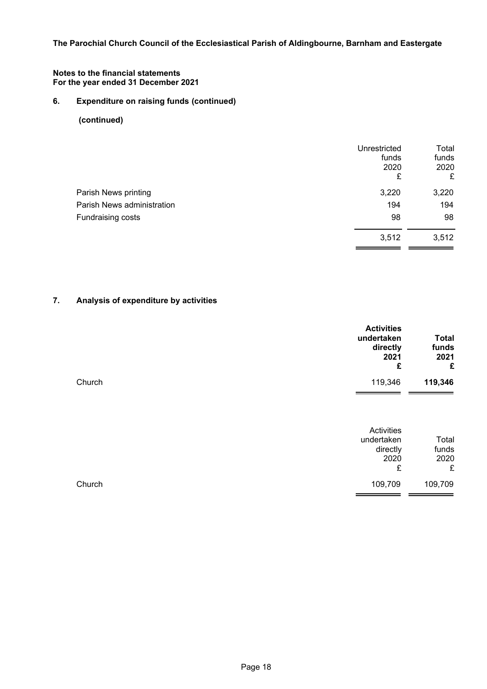### **Notes to the financial statements For the year ended 31 December 2021**

# **6. Expenditure on raising funds (continued)**

# **(continued)**

|                            | Unrestricted<br>funds<br>2020<br>£ | Total<br>funds<br>2020<br>£ |
|----------------------------|------------------------------------|-----------------------------|
| Parish News printing       | 3,220                              | 3,220                       |
| Parish News administration | 194                                | 194                         |
| Fundraising costs          | 98                                 | 98                          |
|                            | 3,512                              | 3,512                       |
|                            |                                    |                             |

# **7. Analysis of expenditure by activities**

| <b>Activities</b><br>undertaken<br>directly<br>2021 | £ | <b>Total</b><br>funds<br>2021<br>£ |
|-----------------------------------------------------|---|------------------------------------|
| 119,346<br>Church                                   |   | 119,346                            |

| Church | 109,709    | 109,709 |
|--------|------------|---------|
|        | £          | £       |
|        | 2020       | 2020    |
|        | directly   | funds   |
|        | undertaken | Total   |
|        | Activities |         |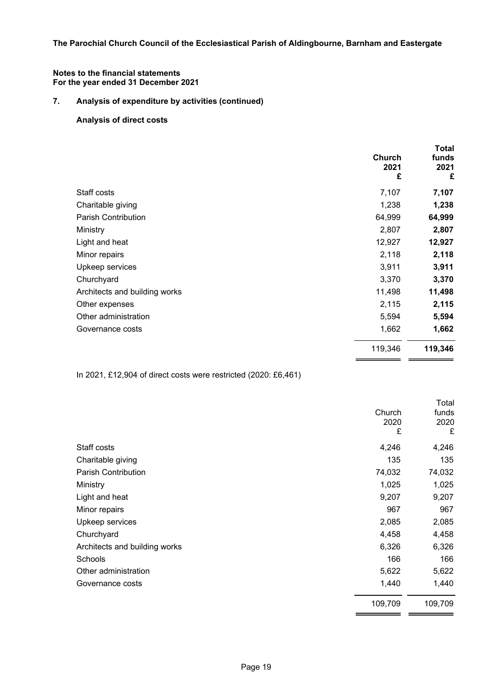### **Notes to the financial statements For the year ended 31 December 2021**

# **7. Analysis of expenditure by activities (continued)**

# **Analysis of direct costs**

|                               | Church<br>2021<br>£ | Total<br>funds<br>2021<br>£ |
|-------------------------------|---------------------|-----------------------------|
| Staff costs                   | 7,107               | 7,107                       |
| Charitable giving             | 1,238               | 1,238                       |
| <b>Parish Contribution</b>    | 64,999              | 64,999                      |
| Ministry                      | 2,807               | 2,807                       |
| Light and heat                | 12,927              | 12,927                      |
| Minor repairs                 | 2,118               | 2,118                       |
| Upkeep services               | 3,911               | 3,911                       |
| Churchyard                    | 3,370               | 3,370                       |
| Architects and building works | 11,498              | 11,498                      |
| Other expenses                | 2,115               | 2,115                       |
| Other administration          | 5,594               | 5,594                       |
| Governance costs              | 1,662               | 1,662                       |
|                               | 119,346             | 119,346                     |

In 2021, £12,904 of direct costs were restricted (2020: £6,461)

|                               | Church<br>2020<br>£ | Total<br>funds<br>2020<br>£ |
|-------------------------------|---------------------|-----------------------------|
| Staff costs                   | 4,246               | 4,246                       |
| Charitable giving             | 135                 | 135                         |
| <b>Parish Contribution</b>    | 74,032              | 74,032                      |
| Ministry                      | 1,025               | 1,025                       |
| Light and heat                | 9,207               | 9,207                       |
| Minor repairs                 | 967                 | 967                         |
| Upkeep services               | 2,085               | 2,085                       |
| Churchyard                    | 4,458               | 4,458                       |
| Architects and building works | 6,326               | 6,326                       |
| Schools                       | 166                 | 166                         |
| Other administration          | 5,622               | 5,622                       |
| Governance costs              | 1,440               | 1,440                       |
|                               | 109,709             | 109,709                     |

−.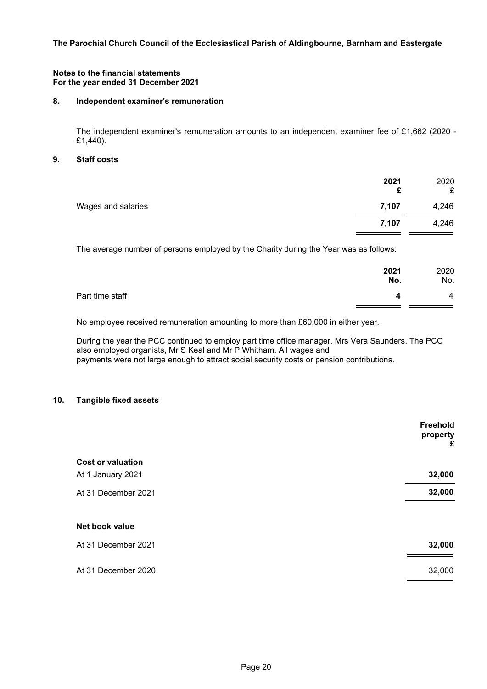#### **Notes to the financial statements For the year ended 31 December 2021**

### **8. Independent examiner's remuneration**

The independent examiner's remuneration amounts to an independent examiner fee of £1,662 (2020 - £1,440).

#### **9. Staff costs**

|                    | 2021<br>£ | 2020<br>£ |
|--------------------|-----------|-----------|
| Wages and salaries | 7,107     | 4,246     |
|                    | 7,107     | 4,246     |

The average number of persons employed by the Charity during the Year was as follows:

|                 | 2021<br>No. | 2020<br>No.    |
|-----------------|-------------|----------------|
| Part time staff |             | $\overline{4}$ |
|                 |             |                |

No employee received remuneration amounting to more than £60,000 in either year.

During the year the PCC continued to employ part time office manager, Mrs Vera Saunders. The PCC also employed organists, Mr S Keal and Mr P Whitham. All wages and payments were not large enough to attract social security costs or pension contributions.

# **10. Tangible fixed assets**

|                          | Freehold<br>property<br>£ |
|--------------------------|---------------------------|
| <b>Cost or valuation</b> |                           |
| At 1 January 2021        | 32,000                    |
| At 31 December 2021      | 32,000                    |
| Net book value           |                           |
| At 31 December 2021      | 32,000                    |
| At 31 December 2020      | 32,000                    |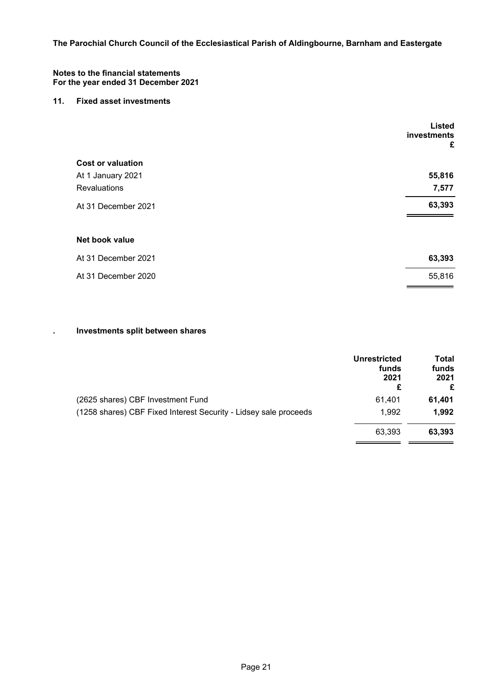#### **Notes to the financial statements For the year ended 31 December 2021**

### **11. Fixed asset investments**

|                          | <b>Listed</b><br>investments<br>£ |
|--------------------------|-----------------------------------|
| <b>Cost or valuation</b> |                                   |
| At 1 January 2021        | 55,816                            |
| <b>Revaluations</b>      | 7,577                             |
| At 31 December 2021      | 63,393                            |
| Net book value           |                                   |
| At 31 December 2021      | 63,393                            |
| At 31 December 2020      | 55,816                            |

# **. Investments split between shares**

|                                                                  | <b>Unrestricted</b><br>funds<br>2021<br>£ | Total<br>funds<br>2021<br>£ |
|------------------------------------------------------------------|-------------------------------------------|-----------------------------|
| (2625 shares) CBF Investment Fund                                | 61,401                                    | 61,401                      |
| (1258 shares) CBF Fixed Interest Security - Lidsey sale proceeds | 1,992                                     | 1,992                       |
|                                                                  | 63.393                                    | 63,393                      |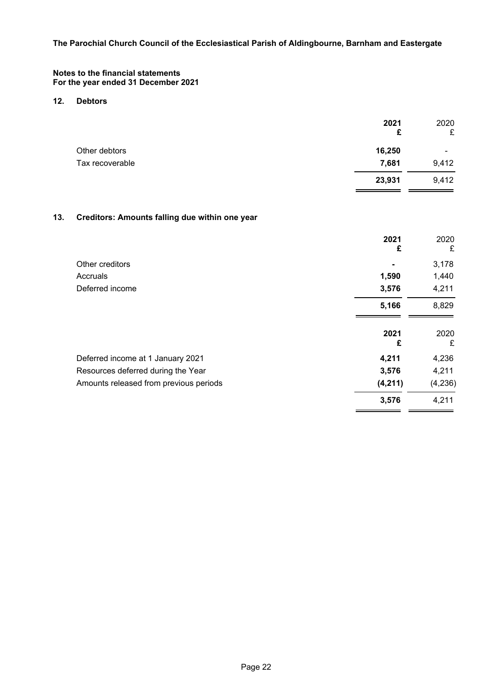### **Notes to the financial statements For the year ended 31 December 2021**

### **12. Debtors**

|                 | 2021<br>£ | 2020<br>£      |
|-----------------|-----------|----------------|
| Other debtors   | 16,250    | $\blacksquare$ |
| Tax recoverable | 7,681     | 9,412          |
|                 | 23,931    | 9,412          |
|                 |           |                |

# **13. Creditors: Amounts falling due within one year**

|                                        | 2021<br>£ | 2020<br>£ |
|----------------------------------------|-----------|-----------|
| Other creditors                        |           | 3,178     |
| Accruals                               | 1,590     | 1,440     |
| Deferred income                        | 3,576     | 4,211     |
|                                        | 5,166     | 8,829     |
|                                        | 2021<br>£ | 2020<br>£ |
| Deferred income at 1 January 2021      | 4,211     | 4,236     |
| Resources deferred during the Year     | 3,576     | 4,211     |
| Amounts released from previous periods | (4,211)   | (4,236)   |
|                                        | 3,576     | 4,211     |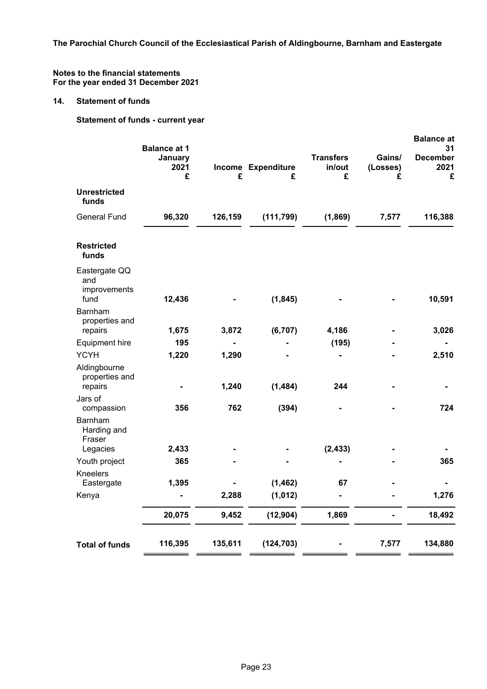### **Notes to the financial statements For the year ended 31 December 2021**

# **14. Statement of funds**

**Statement of funds - current year**

|                                              | <b>Balance at 1</b>  |         |                         |                                 |                         | <b>Balance at</b><br>31      |
|----------------------------------------------|----------------------|---------|-------------------------|---------------------------------|-------------------------|------------------------------|
|                                              | January<br>2021<br>£ | £       | Income Expenditure<br>£ | <b>Transfers</b><br>in/out<br>£ | Gains/<br>(Losses)<br>£ | <b>December</b><br>2021<br>£ |
| <b>Unrestricted</b><br>funds                 |                      |         |                         |                                 |                         |                              |
| <b>General Fund</b>                          | 96,320               | 126,159 | (111, 799)              | (1,869)                         | 7,577                   | 116,388                      |
| <b>Restricted</b><br>funds                   |                      |         |                         |                                 |                         |                              |
| Eastergate QQ<br>and<br>improvements<br>fund | 12,436               |         | (1, 845)                |                                 |                         | 10,591                       |
| Barnham<br>properties and<br>repairs         | 1,675                | 3,872   | (6, 707)                | 4,186                           |                         | 3,026                        |
| <b>Equipment hire</b>                        | 195                  |         |                         | (195)                           |                         |                              |
| <b>YCYH</b>                                  | 1,220                | 1,290   |                         |                                 |                         | 2,510                        |
| Aldingbourne<br>properties and               |                      |         |                         |                                 |                         |                              |
| repairs                                      |                      | 1,240   | (1, 484)                | 244                             |                         |                              |
| Jars of<br>compassion                        | 356                  | 762     | (394)                   |                                 |                         | 724                          |
| Barnham<br>Harding and<br>Fraser             |                      |         |                         |                                 |                         |                              |
| Legacies                                     | 2,433                |         |                         | (2, 433)                        |                         |                              |
| Youth project                                | 365                  |         |                         |                                 |                         | 365                          |
| Kneelers<br>Eastergate                       | 1,395                |         | (1, 462)                | 67                              |                         |                              |
| Kenya                                        |                      | 2,288   | (1, 012)                |                                 |                         | 1,276                        |
|                                              | 20,075               | 9,452   | (12, 904)               | 1,869                           |                         | 18,492                       |
| <b>Total of funds</b>                        | 116,395              | 135,611 | (124, 703)              |                                 | 7,577                   | 134,880                      |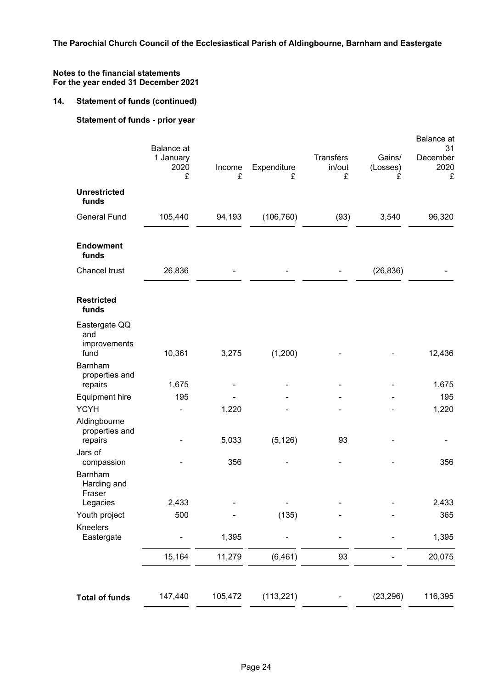# **14. Statement of funds (continued)**

# **Statement of funds - prior year**

|                                              | <b>Balance</b> at      |             |                  |                                 |                         | <b>Balance</b> at<br>31 |
|----------------------------------------------|------------------------|-------------|------------------|---------------------------------|-------------------------|-------------------------|
|                                              | 1 January<br>2020<br>£ | Income<br>£ | Expenditure<br>£ | <b>Transfers</b><br>in/out<br>£ | Gains/<br>(Losses)<br>£ | December<br>2020<br>£   |
| <b>Unrestricted</b><br>funds                 |                        |             |                  |                                 |                         |                         |
| <b>General Fund</b>                          | 105,440                | 94,193      | (106, 760)       | (93)                            | 3,540                   | 96,320                  |
| <b>Endowment</b><br>funds                    |                        |             |                  |                                 |                         |                         |
| Chancel trust                                | 26,836                 |             |                  |                                 | (26, 836)               |                         |
| <b>Restricted</b><br>funds                   |                        |             |                  |                                 |                         |                         |
| Eastergate QQ<br>and<br>improvements<br>fund | 10,361                 | 3,275       | (1,200)          |                                 |                         | 12,436                  |
| Barnham<br>properties and<br>repairs         | 1,675                  |             |                  |                                 |                         | 1,675                   |
| <b>Equipment hire</b>                        | 195                    |             |                  |                                 |                         | 195                     |
| <b>YCYH</b>                                  |                        | 1,220       |                  |                                 |                         | 1,220                   |
| Aldingbourne<br>properties and<br>repairs    |                        | 5,033       | (5, 126)         | 93                              |                         |                         |
| Jars of<br>compassion                        |                        | 356         |                  |                                 |                         | 356                     |
| Barnham<br>Harding and<br>Fraser             |                        |             |                  |                                 |                         |                         |
| Legacies                                     | 2,433                  |             |                  |                                 |                         | 2,433                   |
| Youth project                                | 500                    |             | (135)            |                                 |                         | 365                     |
| Kneelers<br>Eastergate                       |                        | 1,395       |                  |                                 |                         | 1,395                   |
|                                              | 15,164                 | 11,279      | (6, 461)         | 93                              |                         | 20,075                  |
|                                              |                        |             |                  |                                 |                         |                         |
| <b>Total of funds</b>                        | 147,440                | 105,472     | (113, 221)       |                                 | (23, 296)               | 116,395                 |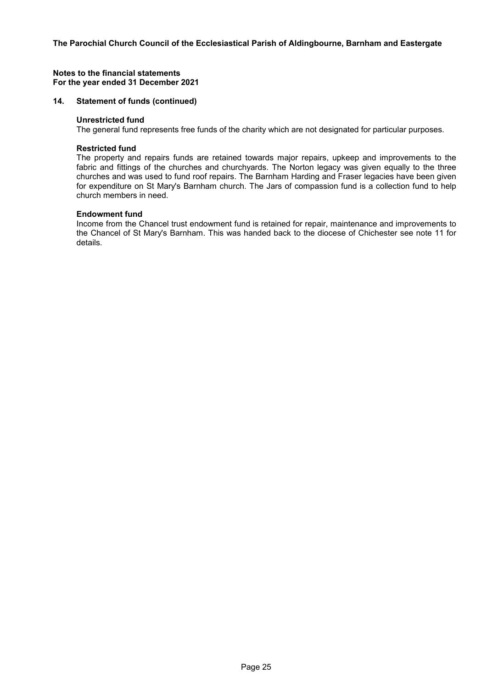#### **14. Statement of funds (continued)**

#### **Unrestricted fund**

The general fund represents free funds of the charity which are not designated for particular purposes.

#### **Restricted fund**

The property and repairs funds are retained towards major repairs, upkeep and improvements to the fabric and fittings of the churches and churchyards. The Norton legacy was given equally to the three churches and was used to fund roof repairs. The Barnham Harding and Fraser legacies have been given for expenditure on St Mary's Barnham church. The Jars of compassion fund is a collection fund to help church members in need.

# **Endowment fund**

Income from the Chancel trust endowment fund is retained for repair, maintenance and improvements to the Chancel of St Mary's Barnham. This was handed back to the diocese of Chichester see note 11 for details.